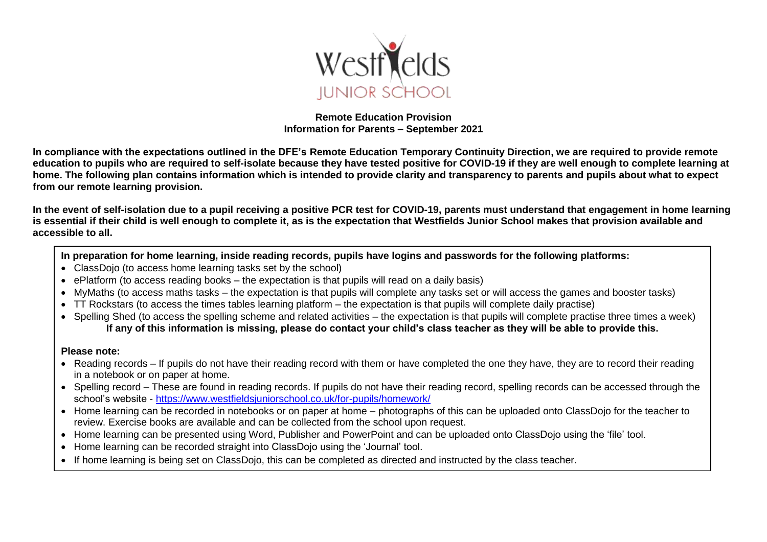

#### **Remote Education Provision Information for Parents – September 2021**

**In compliance with the expectations outlined in the DFE's Remote Education Temporary Continuity Direction, we are required to provide remote education to pupils who are required to self-isolate because they have tested positive for COVID-19 if they are well enough to complete learning at home. The following plan contains information which is intended to provide clarity and transparency to parents and pupils about what to expect from our remote learning provision.**

**In the event of self-isolation due to a pupil receiving a positive PCR test for COVID-19, parents must understand that engagement in home learning is essential if their child is well enough to complete it, as is the expectation that Westfields Junior School makes that provision available and accessible to all.** 

**In preparation for home learning, inside reading records, pupils have logins and passwords for the following platforms:**

- ClassDojo (to access home learning tasks set by the school)
- ePlatform (to access reading books the expectation is that pupils will read on a daily basis)
- MyMaths (to access maths tasks the expectation is that pupils will complete any tasks set or will access the games and booster tasks)
- TT Rockstars (to access the times tables learning platform the expectation is that pupils will complete daily practise)
- Spelling Shed (to access the spelling scheme and related activities the expectation is that pupils will complete practise three times a week) **If any of this information is missing, please do contact your child's class teacher as they will be able to provide this.**

#### **Please note:**

- Reading records If pupils do not have their reading record with them or have completed the one they have, they are to record their reading in a notebook or on paper at home.
- Spelling record These are found in reading records. If pupils do not have their reading record, spelling records can be accessed through the school's website - <https://www.westfieldsjuniorschool.co.uk/for-pupils/homework/>
- Home learning can be recorded in notebooks or on paper at home photographs of this can be uploaded onto ClassDojo for the teacher to review. Exercise books are available and can be collected from the school upon request.
- Home learning can be presented using Word, Publisher and PowerPoint and can be uploaded onto ClassDojo using the 'file' tool.
- Home learning can be recorded straight into ClassDojo using the 'Journal' tool.
- If home learning is being set on ClassDojo, this can be completed as directed and instructed by the class teacher.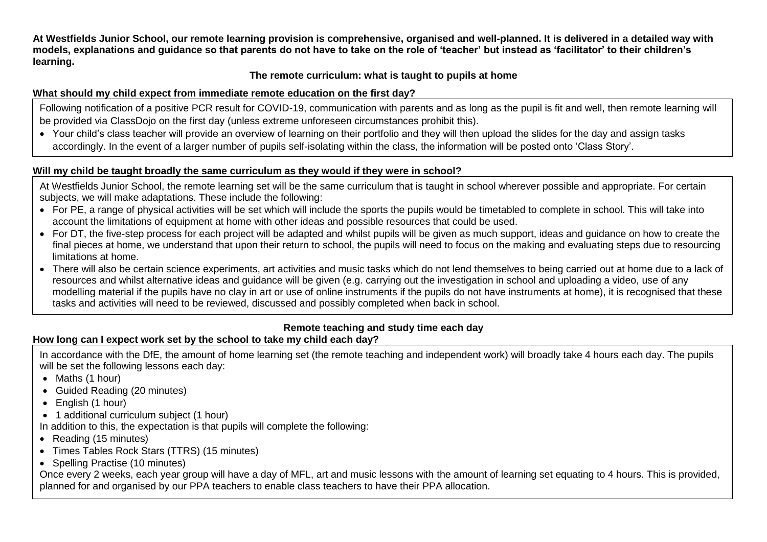**At Westfields Junior School, our remote learning provision is comprehensive, organised and well-planned. It is delivered in a detailed way with models, explanations and guidance so that parents do not have to take on the role of 'teacher' but instead as 'facilitator' to their children's learning.**

### **The remote curriculum: what is taught to pupils at home**

## **What should my child expect from immediate remote education on the first day?**

Following notification of a positive PCR result for COVID-19, communication with parents and as long as the pupil is fit and well, then remote learning will be provided via ClassDojo on the first day (unless extreme unforeseen circumstances prohibit this).

• Your child's class teacher will provide an overview of learning on their portfolio and they will then upload the slides for the day and assign tasks accordingly. In the event of a larger number of pupils self-isolating within the class, the information will be posted onto 'Class Story'.

## **Will my child be taught broadly the same curriculum as they would if they were in school?**

At Westfields Junior School, the remote learning set will be the same curriculum that is taught in school wherever possible and appropriate. For certain subjects, we will make adaptations. These include the following:

- For PE, a range of physical activities will be set which will include the sports the pupils would be timetabled to complete in school. This will take into account the limitations of equipment at home with other ideas and possible resources that could be used.
- For DT, the five-step process for each project will be adapted and whilst pupils will be given as much support, ideas and guidance on how to create the final pieces at home, we understand that upon their return to school, the pupils will need to focus on the making and evaluating steps due to resourcing limitations at home.
- There will also be certain science experiments, art activities and music tasks which do not lend themselves to being carried out at home due to a lack of resources and whilst alternative ideas and guidance will be given (e.g. carrying out the investigation in school and uploading a video, use of any modelling material if the pupils have no clay in art or use of online instruments if the pupils do not have instruments at home), it is recognised that these tasks and activities will need to be reviewed, discussed and possibly completed when back in school.

# **Remote teaching and study time each day**

# **How long can I expect work set by the school to take my child each day?**

In accordance with the DfE, the amount of home learning set (the remote teaching and independent work) will broadly take 4 hours each day. The pupils will be set the following lessons each day:

- Maths (1 hour)
- Guided Reading (20 minutes)
- English (1 hour)
- 1 additional curriculum subiect (1 hour)
- In addition to this, the expectation is that pupils will complete the following:
- Reading (15 minutes)
- Times Tables Rock Stars (TTRS) (15 minutes)
- Spelling Practise (10 minutes)

Once every 2 weeks, each year group will have a day of MFL, art and music lessons with the amount of learning set equating to 4 hours. This is provided, planned for and organised by our PPA teachers to enable class teachers to have their PPA allocation.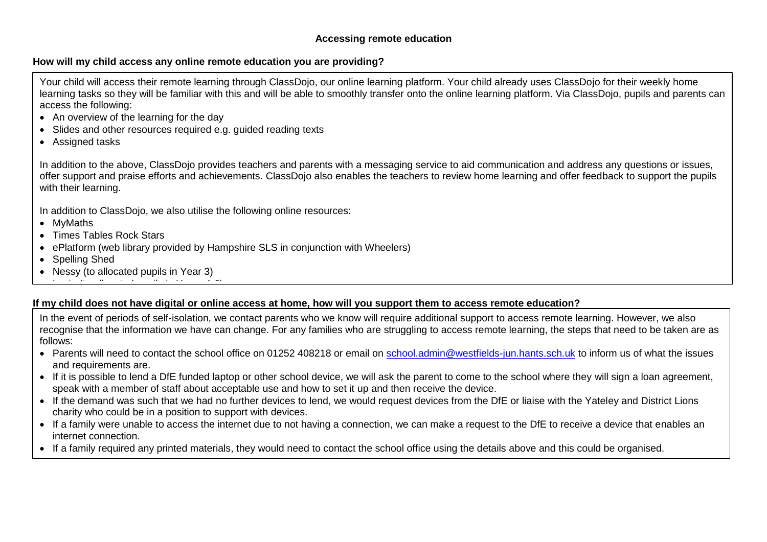#### **How will my child access any online remote education you are providing?**

Your child will access their remote learning through ClassDojo, our online learning platform. Your child already uses ClassDojo for their weekly home learning tasks so they will be familiar with this and will be able to smoothly transfer onto the online learning platform. Via ClassDojo, pupils and parents can access the following:

- An overview of the learning for the day
- Slides and other resources required e.g. guided reading texts
- Assigned tasks

In addition to the above, ClassDojo provides teachers and parents with a messaging service to aid communication and address any questions or issues, offer support and praise efforts and achievements. ClassDojo also enables the teachers to review home learning and offer feedback to support the pupils with their learning.

In addition to ClassDojo, we also utilise the following online resources:

- MyMaths
- Times Tables Rock Stars
- ePlatform (web library provided by Hampshire SLS in conjunction with Wheelers)
- Spelling Shed
- Nessy (to allocated pupils in Year 3)  $\mathcal{L}(\mathcal{L}(\mathcal{L}(\mathcal{L}(\mathcal{L}(\mathcal{L}(\mathcal{L}(\mathcal{L}(\mathcal{L}(\mathcal{L}(\mathcal{L}(\mathcal{L}(\mathcal{L}(\mathcal{L}(\mathcal{L}(\mathcal{L}(\mathcal{L}(\mathcal{L}(\mathcal{L}(\mathcal{L}(\mathcal{L}(\mathcal{L}(\mathcal{L}(\mathcal{L}(\mathcal{L}(\mathcal{L}(\mathcal{L}(\mathcal{L}(\mathcal{L}(\mathcal{L}(\mathcal{L}(\mathcal{L}(\mathcal{L}(\mathcal{L}(\mathcal{L}(\mathcal{L}(\mathcal{$

### **If my child does not have digital or online access at home, how will you support them to access remote education?**

In the event of periods of self-isolation, we contact parents who we know will require additional support to access remote learning. However, we also recognise that the information we have can change. For any families who are struggling to access remote learning, the steps that need to be taken are as follows:

- Parents will need to contact the school office on 01252 408218 or email on [school.admin@westfields-jun.hants.sch.uk](mailto:school.admin@westfields-jun.hants.sch.uk) to inform us of what the issues and requirements are.
- If it is possible to lend a DfE funded laptop or other school device, we will ask the parent to come to the school where they will sign a loan agreement, speak with a member of staff about acceptable use and how to set it up and then receive the device.
- If the demand was such that we had no further devices to lend, we would request devices from the DfE or liaise with the Yateley and District Lions charity who could be in a position to support with devices.
- If a family were unable to access the internet due to not having a connection, we can make a request to the DfE to receive a device that enables an internet connection.
- If a family required any printed materials, they would need to contact the school office using the details above and this could be organised.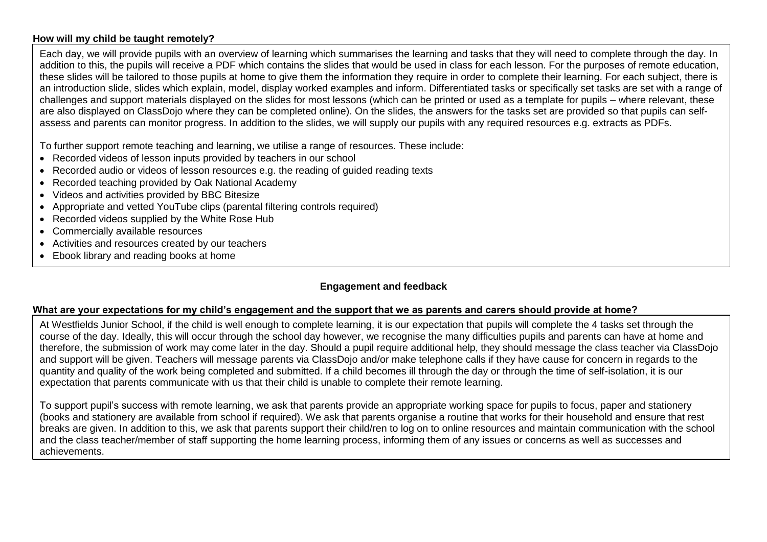#### **How will my child be taught remotely?**

Each day, we will provide pupils with an overview of learning which summarises the learning and tasks that they will need to complete through the day. In addition to this, the pupils will receive a PDF which contains the slides that would be used in class for each lesson. For the purposes of remote education, these slides will be tailored to those pupils at home to give them the information they require in order to complete their learning. For each subject, there is an introduction slide, slides which explain, model, display worked examples and inform. Differentiated tasks or specifically set tasks are set with a range of challenges and support materials displayed on the slides for most lessons (which can be printed or used as a template for pupils – where relevant, these are also displayed on ClassDojo where they can be completed online). On the slides, the answers for the tasks set are provided so that pupils can selfassess and parents can monitor progress. In addition to the slides, we will supply our pupils with any required resources e.g. extracts as PDFs.

To further support remote teaching and learning, we utilise a range of resources. These include:

- Recorded videos of lesson inputs provided by teachers in our school
- Recorded audio or videos of lesson resources e.g. the reading of guided reading texts
- Recorded teaching provided by Oak National Academy
- Videos and activities provided by BBC Bitesize
- Appropriate and vetted YouTube clips (parental filtering controls required)
- Recorded videos supplied by the White Rose Hub
- Commercially available resources
- Activities and resources created by our teachers
- Ebook library and reading books at home

### **Engagement and feedback**

#### **What are your expectations for my child's engagement and the support that we as parents and carers should provide at home?**

At Westfields Junior School, if the child is well enough to complete learning, it is our expectation that pupils will complete the 4 tasks set through the course of the day. Ideally, this will occur through the school day however, we recognise the many difficulties pupils and parents can have at home and therefore, the submission of work may come later in the day. Should a pupil require additional help, they should message the class teacher via ClassDojo and support will be given. Teachers will message parents via ClassDojo and/or make telephone calls if they have cause for concern in regards to the quantity and quality of the work being completed and submitted. If a child becomes ill through the day or through the time of self-isolation, it is our expectation that parents communicate with us that their child is unable to complete their remote learning.

To support pupil's success with remote learning, we ask that parents provide an appropriate working space for pupils to focus, paper and stationery (books and stationery are available from school if required). We ask that parents organise a routine that works for their household and ensure that rest breaks are given. In addition to this, we ask that parents support their child/ren to log on to online resources and maintain communication with the school and the class teacher/member of staff supporting the home learning process, informing them of any issues or concerns as well as successes and achievements.